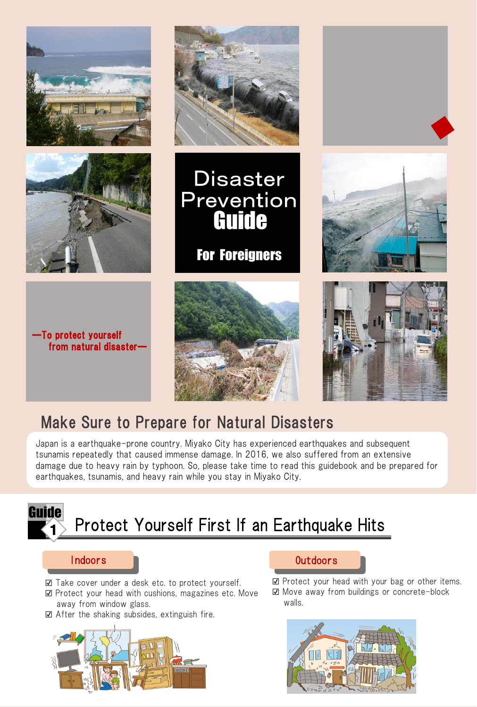

### Make Sure to Prepare for Natural Disasters

Japan is a earthquake-prone country. Miyako City has experienced earthquakes and subsequent tsunamis repeatedly that caused immense damage. In 2016, we also suffered from an extensive damage due to heavy rain by typhoon. So, please take time to read this guidebook and be prepared for earthquakes, tsunamis, and heavy rain while you stay in Miyako City.



- ☑ Take cover under a desk etc. to protect yourself.
- ⊠ Protect your head with cushions, magazines etc. Move<br>away from window glass. away from window glass.
- ☑ After the shaking subsides, extinguish fire.





☑ Protect your head with your bag or other items. ☑ Move away from buildings or concrete-block walls.

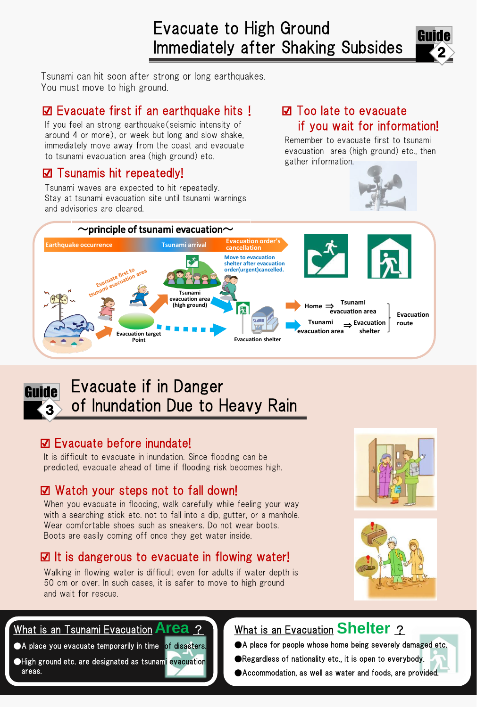

Tsunami can hit soon after strong or long earthquakes. You must move to high ground.

### ☑ Evacuate first if an earthquake hits! ☑ Too late to evacuate

If you feel an strong earthquake (seismic intensity of around 4 or more), or week but long and slow shake, immediately move away from the coast and evacuate to tsunami evacuation area (high ground) etc.

### ☑ Tsunamis hit repeatedly!

Tsunami waves are expected to hit repeatedly. Stay at tsunami evacuation site until tsunami warnings and advisories are cleared.

# if you wait for information!

Remember to evacuate first to tsunami evacuation area (high ground) etc., then gather information.



#### Guide 3 Evacuate if in Danger of Inundation Due to Heavy Rain

### ☑ Evacuate before inundate!

It is difficult to evacuate in inundation. Since flooding can be predicted, evacuate ahead of time if flooding risk becomes high.

### ☑ Watch your steps not to fall down!

When you evacuate in flooding, walk carefully while feeling your way with a searching stick etc. not to fall into a dip, gutter, or a manhole. Wear comfortable shoes such as sneakers. Do not wear boots. Boots are easily coming off once they get water inside.

### ☑ It is dangerous to evacuate in flowing water!

Walking in flowing water is difficult even for adults if water depth is 50 cm or over. In such cases, it is safer to move to high ground and wait for rescue.





### What is an Evacuation **Shelter** ?

What is an Tsunami Evacuation **Area** ? **A place you evacuate temporarily in time of disasters.** 

●High ground etc. are designated as tsunami evacuation areas.

- ●A place for people whose home being severely damaged etc.
- ●Regardless of nationality etc., it is open to everybody.
- ●Accommodation, as well as water and foods, are provided.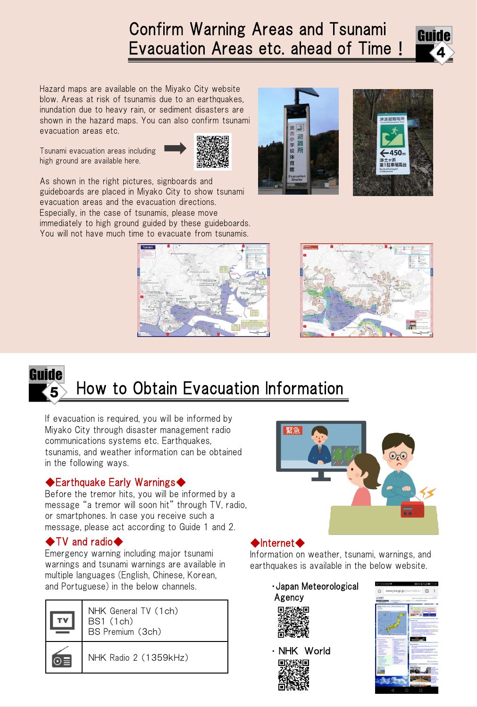## Confirm Warning Areas and Tsunami Evacuation Areas etc. ahead of Time!



Hazard maps are available on the Miyako City website blow. Areas at risk of tsunamis due to an earthquakes, inundation due to heavy rain, or sediment disasters are shown in the hazard maps. You can also confirm tsunami evacuation areas etc.

Tsunami evacuation areas including high ground are available here.



As shown in the right pictures, signboards and guideboards are placed in Miyako City to show tsunami evacuation areas and the evacuation directions. Especially, in the case of tsunamis, please move immediately to high ground guided by these guideboards. You will not have much time to evacuate from tsunamis.









If evacuation is required, you will be informed by Miyako City through disaster management radio communications systems etc. Earthquakes, tsunamis, and weather information can be obtained in the following ways.

### ◆Earthquake Early Warnings◆

message, please act according to Guide 1 and 2. Before the tremor hits, you will be informed by a message "a tremor will soon hit" through TV, radio, or smartphones. In case you receive such a

### ◆TV and radio◆

Emergency warning including major tsunami warnings and tsunami warnings are available in multiple languages (English, Chinese, Korean, and Portuguese) in the below channels. **Example 20 years 10 years Meteorological** 



NHK General TV (1ch) BS1 (1ch) BS Premium (3ch)

NHK Radio 2 (1359kHz)



#### ◆Internet◆

Information on weather, tsunami, warnings, and earthquakes is available in the below website.





・ NHK World